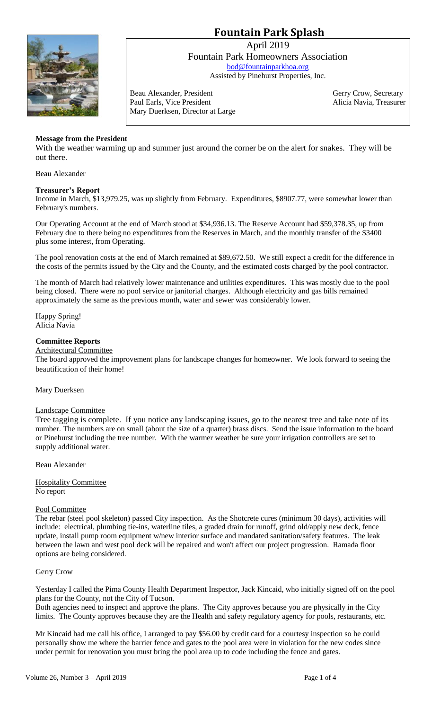# **Fountain Park Splash**



April 2019 Fountain Park Homeowners Association [bod@fountainparkhoa.org](mailto:bod@fountainparkhoa.org) Assisted by Pinehurst Properties, Inc.

Beau Alexander, President Gerry Crow, Secretary Paul Earls, Vice President Alicia Navia, Treasurer Mary Duerksen, Director at Large

# **Message from the President**

With the weather warming up and summer just around the corner be on the alert for snakes. They will be out there.

Beau Alexander

## **Treasurer's Report**

Income in March, \$13,979.25, was up slightly from February. Expenditures, \$8907.77, were somewhat lower than February's numbers.

Our Operating Account at the end of March stood at \$34,936.13. The Reserve Account had \$59,378.35, up from February due to there being no expenditures from the Reserves in March, and the monthly transfer of the \$3400 plus some interest, from Operating.

The pool renovation costs at the end of March remained at \$89,672.50. We still expect a credit for the difference in the costs of the permits issued by the City and the County, and the estimated costs charged by the pool contractor.

The month of March had relatively lower maintenance and utilities expenditures. This was mostly due to the pool being closed. There were no pool service or janitorial charges. Although electricity and gas bills remained approximately the same as the previous month, water and sewer was considerably lower.

Happy Spring! Alicia Navia

## **Committee Reports**

## Architectural Committee

The board approved the improvement plans for landscape changes for homeowner. We look forward to seeing the beautification of their home!

Mary Duerksen

## Landscape Committee

Tree tagging is complete. If you notice any landscaping issues, go to the nearest tree and take note of its number. The numbers are on small (about the size of a quarter) brass discs. Send the issue information to the board or Pinehurst including the tree number. With the warmer weather be sure your irrigation controllers are set to supply additional water.

Beau Alexander

Hospitality Committee No report

#### Pool Committee

The rebar (steel pool skeleton) passed City inspection. As the Shotcrete cures (minimum 30 days), activities will include: electrical, plumbing tie-ins, waterline tiles, a graded drain for runoff, grind old/apply new deck, fence update, install pump room equipment w/new interior surface and mandated sanitation/safety features. The leak between the lawn and west pool deck will be repaired and won't affect our project progression. Ramada floor options are being considered.

Gerry Crow

Yesterday I called the Pima County Health Department Inspector, Jack Kincaid, who initially signed off on the pool plans for the County, not the City of Tucson.

Both agencies need to inspect and approve the plans. The City approves because you are physically in the City limits. The County approves because they are the Health and safety regulatory agency for pools, restaurants, etc.

Mr Kincaid had me call his office, I arranged to pay \$56.00 by credit card for a courtesy inspection so he could personally show me where the barrier fence and gates to the pool area were in violation for the new codes since under permit for renovation you must bring the pool area up to code including the fence and gates.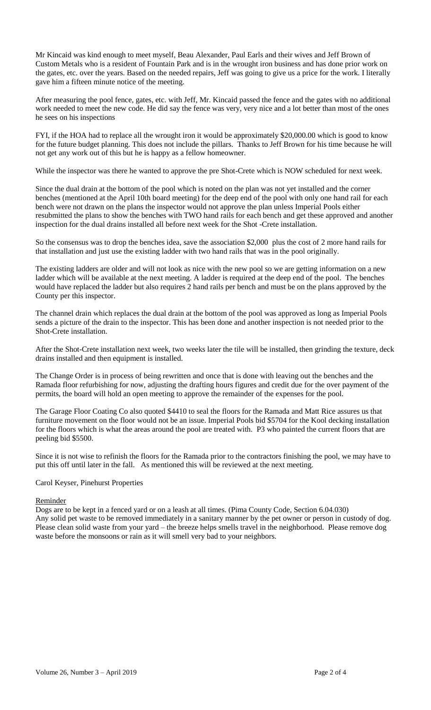Mr Kincaid was kind enough to meet myself, Beau Alexander, Paul Earls and their wives and Jeff Brown of Custom Metals who is a resident of Fountain Park and is in the wrought iron business and has done prior work on the gates, etc. over the years. Based on the needed repairs, Jeff was going to give us a price for the work. I literally gave him a fifteen minute notice of the meeting.

After measuring the pool fence, gates, etc. with Jeff, Mr. Kincaid passed the fence and the gates with no additional work needed to meet the new code. He did say the fence was very, very nice and a lot better than most of the ones he sees on his inspections

FYI, if the HOA had to replace all the wrought iron it would be approximately \$20,000.00 which is good to know for the future budget planning. This does not include the pillars. Thanks to Jeff Brown for his time because he will not get any work out of this but he is happy as a fellow homeowner.

While the inspector was there he wanted to approve the pre Shot-Crete which is NOW scheduled for next week.

Since the dual drain at the bottom of the pool which is noted on the plan was not yet installed and the corner benches (mentioned at the April 10th board meeting) for the deep end of the pool with only one hand rail for each bench were not drawn on the plans the inspector would not approve the plan unless Imperial Pools either resubmitted the plans to show the benches with TWO hand rails for each bench and get these approved and another inspection for the dual drains installed all before next week for the Shot -Crete installation.

So the consensus was to drop the benches idea, save the association \$2,000 plus the cost of 2 more hand rails for that installation and just use the existing ladder with two hand rails that was in the pool originally.

The existing ladders are older and will not look as nice with the new pool so we are getting information on a new ladder which will be available at the next meeting. A ladder is required at the deep end of the pool. The benches would have replaced the ladder but also requires 2 hand rails per bench and must be on the plans approved by the County per this inspector.

The channel drain which replaces the dual drain at the bottom of the pool was approved as long as Imperial Pools sends a picture of the drain to the inspector. This has been done and another inspection is not needed prior to the Shot-Crete installation.

After the Shot-Crete installation next week, two weeks later the tile will be installed, then grinding the texture, deck drains installed and then equipment is installed.

The Change Order is in process of being rewritten and once that is done with leaving out the benches and the Ramada floor refurbishing for now, adjusting the drafting hours figures and credit due for the over payment of the permits, the board will hold an open meeting to approve the remainder of the expenses for the pool.

The Garage Floor Coating Co also quoted \$4410 to seal the floors for the Ramada and Matt Rice assures us that furniture movement on the floor would not be an issue. Imperial Pools bid \$5704 for the Kool decking installation for the floors which is what the areas around the pool are treated with. P3 who painted the current floors that are peeling bid \$5500.

Since it is not wise to refinish the floors for the Ramada prior to the contractors finishing the pool, we may have to put this off until later in the fall. As mentioned this will be reviewed at the next meeting.

## Carol Keyser, Pinehurst Properties

## Reminder

Dogs are to be kept in a fenced yard or on a leash at all times. (Pima County Code, Section 6.04.030) Any solid pet waste to be removed immediately in a sanitary manner by the pet owner or person in custody of dog. Please clean solid waste from your yard – the breeze helps smells travel in the neighborhood. Please remove dog waste before the monsoons or rain as it will smell very bad to your neighbors.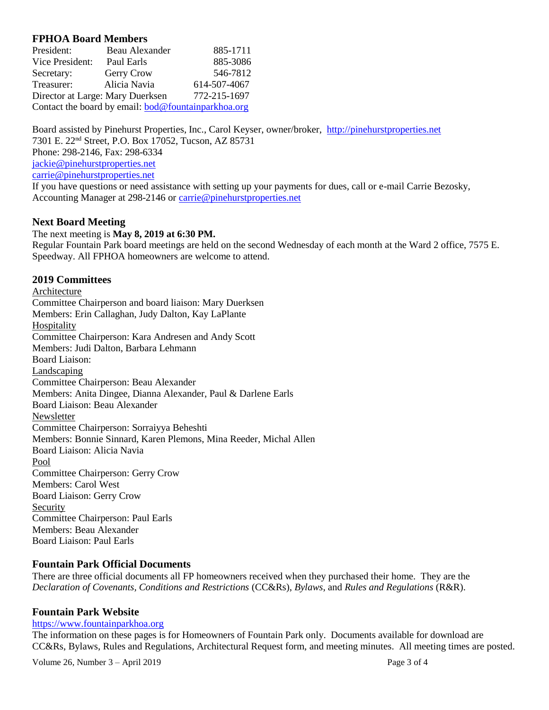# **FPHOA Board Members**

| President:                       | Beau Alexander                                             | 885-1711     |
|----------------------------------|------------------------------------------------------------|--------------|
| Vice President:                  | Paul Earls                                                 | 885-3086     |
| Secretary:                       | Gerry Crow                                                 | 546-7812     |
| Treasurer:                       | Alicia Navia                                               | 614-507-4067 |
| Director at Large: Mary Duerksen |                                                            | 772-215-1697 |
|                                  | Contact the board by email: <b>bod@fountainparkhoa.org</b> |              |

Board assisted by Pinehurst Properties, Inc., Carol Keyser, owner/broker, [http://pinehurstproperties.net](http://pinehurstproperties.net/) 7301 E. 22nd Street, P.O. Box 17052, Tucson, AZ 85731 Phone: 298-2146, Fax: 298-6334 [jackie@pinehurstproperties.net](mailto:jackie@pinehurstproperties.net) [carrie@pinehurstproperties.net](mailto:carrie@pinehurstproperties.net) If you have questions or need assistance with setting up your payments for dues, call or e-mail Carrie Bezosky, Accounting Manager at 298-2146 or [carrie@pinehurstproperties.net](mailto:carrie@pinehurstproperties.net)

#### **Next Board Meeting**

#### The next meeting is **May 8, 2019 at 6:30 PM.**

Regular Fountain Park board meetings are held on the second Wednesday of each month at the Ward 2 office, 7575 E. Speedway. All FPHOA homeowners are welcome to attend.

#### **2019 Committees**

Architecture Committee Chairperson and board liaison: Mary Duerksen Members: Erin Callaghan, Judy Dalton, Kay LaPlante Hospitality Committee Chairperson: Kara Andresen and Andy Scott Members: Judi Dalton, Barbara Lehmann Board Liaison: Landscaping Committee Chairperson: Beau Alexander Members: Anita Dingee, Dianna Alexander, Paul & Darlene Earls Board Liaison: Beau Alexander Newsletter Committee Chairperson: Sorraiyya Beheshti Members: Bonnie Sinnard, Karen Plemons, Mina Reeder, Michal Allen Board Liaison: Alicia Navia Pool Committee Chairperson: Gerry Crow Members: Carol West Board Liaison: Gerry Crow Security Committee Chairperson: Paul Earls Members: Beau Alexander Board Liaison: Paul Earls

### **Fountain Park Official Documents**

There are three official documents all FP homeowners received when they purchased their home. They are the *Declaration of Covenants, Conditions and Restrictions* (CC&Rs), *Bylaws*, and *Rules and Regulations* (R&R).

## **Fountain Park Website**

#### [https://www.fountainparkhoa.org](https://www.fountainparkhoa.org/)

The information on these pages is for Homeowners of Fountain Park only. Documents available for download are CC&Rs, Bylaws, Rules and Regulations, Architectural Request form, and meeting minutes. All meeting times are posted.

Volume  $26$ , Number  $3 -$ April  $2019$  Page 3 of 4